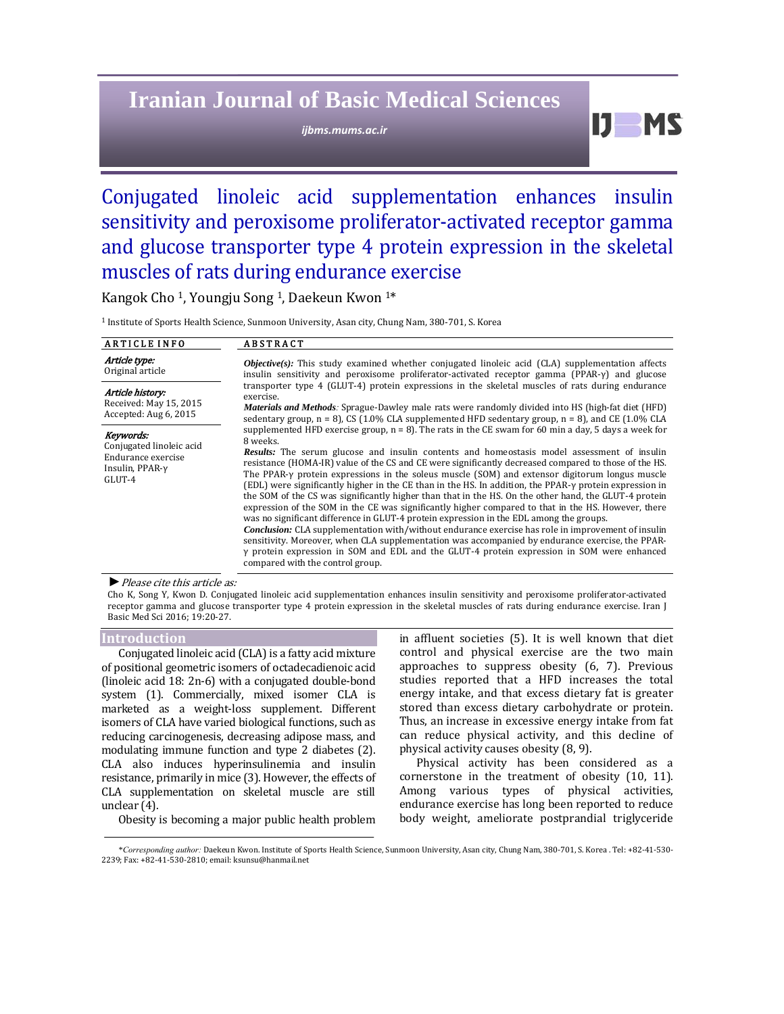# **Iranian Journal of Basic Medical Sciences**

*ijbms.mums.ac.ir*

 $IJ$  MS

# Conjugated linoleic acid supplementation enhances insulin sensitivity and peroxisome proliferator-activated receptor gamma and glucose transporter type 4 protein expression in the skeletal muscles of rats during endurance exercise

Kangok Cho<sup>1</sup>, Youngju Song<sup>1</sup>, Daekeun Kwon<sup>1\*</sup>

<sup>1</sup> Institute of Sports Health Science, Sunmoon University, Asan city, Chung Nam, 380-701, S. Korea

| <b>ARTICLE INFO</b>                                                                             | <b>ABSTRACT</b>                                                                                                                                                                                                                                                                                                                                                                                                                                                                                                                                                                                                                                                                                                                                                                                                                                                                                                                                                                                                                                                                                                                                                                                                      |  |  |  |  |
|-------------------------------------------------------------------------------------------------|----------------------------------------------------------------------------------------------------------------------------------------------------------------------------------------------------------------------------------------------------------------------------------------------------------------------------------------------------------------------------------------------------------------------------------------------------------------------------------------------------------------------------------------------------------------------------------------------------------------------------------------------------------------------------------------------------------------------------------------------------------------------------------------------------------------------------------------------------------------------------------------------------------------------------------------------------------------------------------------------------------------------------------------------------------------------------------------------------------------------------------------------------------------------------------------------------------------------|--|--|--|--|
| Article type:<br>Original article                                                               | <i>Objective(s):</i> This study examined whether conjugated linoleic acid ( $CLA$ ) supplementation affects<br>insulin sensitivity and peroxisome proliferator-activated receptor gamma $(PPAR-y)$ and glucose                                                                                                                                                                                                                                                                                                                                                                                                                                                                                                                                                                                                                                                                                                                                                                                                                                                                                                                                                                                                       |  |  |  |  |
| Article history:<br>Received: May 15, 2015<br>Accepted: Aug 6, 2015                             | transporter type 4 (GLUT-4) protein expressions in the skeletal muscles of rats during endurance<br>exercise.<br><i>Materials and Methods:</i> Sprague-Dawley male rats were randomly divided into HS (high-fat diet (HFD)<br>sedentary group, $n = 8$ ), CS (1.0% CLA supplemented HFD sedentary group, $n = 8$ ), and CE (1.0% CLA                                                                                                                                                                                                                                                                                                                                                                                                                                                                                                                                                                                                                                                                                                                                                                                                                                                                                 |  |  |  |  |
| Keywords:<br>Conjugated linoleic acid<br>Endurance exercise<br>Insulin, $PPAR-\gamma$<br>GLUT-4 | supplemented HFD exercise group, $n = 8$ ). The rats in the CE swam for 60 min a day, 5 days a week for<br>8 weeks.<br><b>Results:</b> The serum glucose and insulin contents and homeostasis model assessment of insulin<br>resistance (HOMA-IR) value of the CS and CE were significantly decreased compared to those of the HS.<br>The PPAR-y protein expressions in the soleus muscle (SOM) and extensor digitorum longus muscle<br>(EDL) were significantly higher in the CE than in the HS. In addition, the PPAR-y protein expression in<br>the SOM of the CS was significantly higher than that in the HS. On the other hand, the GLUT-4 protein<br>expression of the SOM in the CE was significantly higher compared to that in the HS. However, there<br>was no significant difference in GLUT-4 protein expression in the EDL among the groups.<br><i>Conclusion:</i> CLA supplementation with/without endurance exercise has role in improvement of insulin<br>sensitivity. Moreover, when CLA supplementation was accompanied by endurance exercise, the PPAR-<br>$\gamma$ protein expression in SOM and EDL and the GLUT-4 protein expression in SOM were enhanced<br>compared with the control group. |  |  |  |  |

▶ Please cite this article as:

Cho K, Song Y, Kwon D. Conjugated linoleic acid supplementation enhances insulin sensitivity and peroxisome proliferator-activated receptor gamma and glucose transporter type 4 protein expression in the skeletal muscles of rats during endurance exercise. Iran J Basic Med Sci 2016; 19:20-27.

#### **Introduction**

Conjugated linoleic acid (CLA) is a fatty acid mixture of positional geometric isomers of octadecadienoic acid (linoleic acid  $18: 2n-6$ ) with a conjugated double-bond system (1). Commercially, mixed isomer CLA is marketed as a weight-loss supplement. Different isomers of CLA have varied biological functions, such as reducing carcinogenesis, decreasing adipose mass, and modulating immune function and type 2 diabetes (2). CLA also induces hyperinsulinemia and insulin resistance, primarily in mice (3). However, the effects of CLA supplementation on skeletal muscle are still unclear (4).

Obesity is becoming a major public health problem

in affluent societies (5). It is well known that diet control and physical exercise are the two main approaches to suppress obesity  $(6, 7)$ . Previous studies reported that a HFD increases the total energy intake, and that excess dietary fat is greater stored than excess dietary carbohydrate or protein. Thus, an increase in excessive energy intake from fat can reduce physical activity, and this decline of physical activity causes obesity  $(8, 9)$ .

Physical activity has been considered as a cornerstone in the treatment of obesity  $(10, 11)$ . Among various types of physical activities, endurance exercise has long been reported to reduce body weight, ameliorate postprandial triglyceride

<sup>\*</sup>*Corresponding author:* Daekeun Kwon. Institute of Sports Health Science, Sunmoon University, Asan city, Chung Nam, 380‐701, S. Korea . Tel: +82‐41‐530‐ 2239; Fax: +82-41-530-2810; email: ksunsu@hanmail.net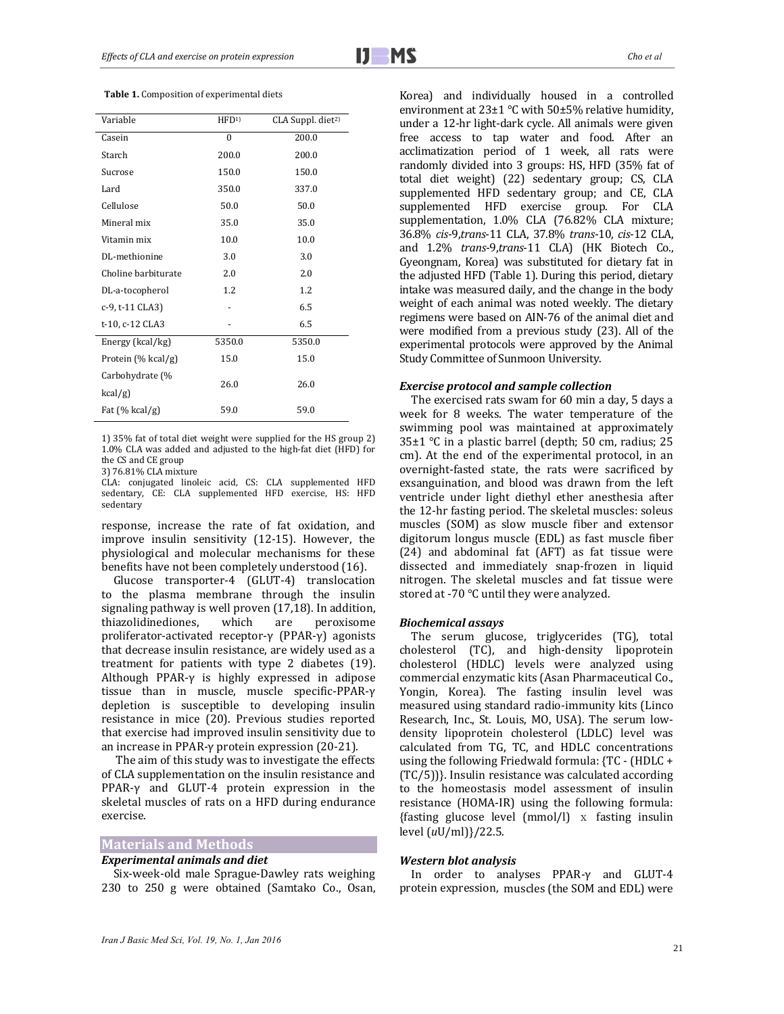|  |  | <b>Table 1.</b> Composition of experimental diets |  |
|--|--|---------------------------------------------------|--|
|--|--|---------------------------------------------------|--|

| Variable                      | HFD <sup>1</sup> | CLA Suppl. diet <sup>2)</sup> |
|-------------------------------|------------------|-------------------------------|
| Casein                        | $\theta$         | 200.0                         |
| Starch                        | 200.0            | 200.0                         |
| Sucrose                       | 150.0            | 150.0                         |
| Lard                          | 350.0            | 337.0                         |
| Cellulose                     | 50.0             | 50.0                          |
| Mineral mix                   | 35.0             | 35.0                          |
| Vitamin mix                   | 10.0             | 10.0                          |
| DL-methionine                 | 3.0              | 3.0                           |
| Choline barbiturate           | 2.0              | 2.0                           |
| DL-a-tocopherol               | 1.2              | 1.2                           |
| c-9, t-11 CLA3)               |                  | 6.5                           |
| t-10, c-12 CLA3               |                  | 6.5                           |
| Energy (kcal/kg)              | 5350.0           | 5350.0                        |
| Protein (% kcal/g)            | 15.0             | 15.0                          |
| Carbohydrate (%<br>$kcal/g$ ) | 26.0             | 26.0                          |
| Fat $(\%$ kcal/g)             | 59.0             | 59.0                          |

1) 35% fat of total diet weight were supplied for the HS group 2)  $1.0\%$  CLA was added and adjusted to the high-fat diet (HFD) for the CS and CE group

3) 76.81% CLA mixture 

CLA: conjugated linoleic acid, CS: CLA supplemented HFD sedentary, CE: CLA supplemented HFD exercise, HS: HFD sedentary 

response, increase the rate of fat oxidation, and improve insulin sensitivity  $(12-15)$ . However, the physiological and molecular mechanisms for these benefits have not been completely understood (16).

Glucose transporter-4 (GLUT-4) translocation to the plasma membrane through the insulin signaling pathway is well proven  $(17.18)$ . In addition, thiazolidinediones, which are peroxisome proliferator-activated receptor-γ (PPAR-γ) agonists that decrease insulin resistance, are widely used as a treatment for patients with type 2 diabetes  $(19)$ . Although PPAR- $\gamma$  is highly expressed in adipose tissue than in muscle, muscle specific-PPAR-γ depletion is susceptible to developing insulin resistance in mice (20). Previous studies reported that exercise had improved insulin sensitivity due to an increase in PPAR- $\gamma$  protein expression (20-21).

The aim of this study was to investigate the effects of CLA supplementation on the insulin resistance and PPAR- $\gamma$  and GLUT-4 protein expression in the skeletal muscles of rats on a HFD during endurance exercise.

# **Materials and Methods**

## *Experimental animals and diet*

Six-week-old male Sprague-Dawley rats weighing 230 to 250 g were obtained (Samtako Co., Osan, Korea) and individually housed in a controlled environment at  $23\pm1$  °C with  $50\pm5\%$  relative humidity, under a 12-hr light-dark cycle. All animals were given free access to tap water and food. After an acclimatization period of 1 week, all rats were randomly divided into 3 groups: HS, HFD (35% fat of total diet weight) (22) sedentary group; CS, CLA supplemented HFD sedentary group; and CE, CLA supplemented HFD exercise group. For CLA supplementation, 1.0% CLA (76.82% CLA mixture; 36.8% *cis*‐9,*trans*‐11 CLA, 37.8% *trans*‐10, *cis*‐12 CLA, and 1.2% *trans*-9,*trans*-11 CLA) (HK Biotech Co., Gyeongnam, Korea) was substituted for dietary fat in the adjusted HFD (Table 1). During this period, dietary intake was measured daily, and the change in the body weight of each animal was noted weekly. The dietary regimens were based on AIN-76 of the animal diet and were modified from a previous study  $(23)$ . All of the experimental protocols were approved by the Animal Study Committee of Sunmoon University.

## *Exercise protocol and sample collection*

The exercised rats swam for 60 min a day, 5 days a week for 8 weeks. The water temperature of the swimming pool was maintained at approximately 35 $\pm$ 1 °C in a plastic barrel (depth; 50 cm, radius; 25 cm). At the end of the experimental protocol, in an overnight-fasted state, the rats were sacrificed by exsanguination, and blood was drawn from the left ventricle under light diethyl ether anesthesia after the 12-hr fasting period. The skeletal muscles: soleus muscles (SOM) as slow muscle fiber and extensor digitorum longus muscle (EDL) as fast muscle fiber  $(24)$  and abdominal fat  $(AFT)$  as fat tissue were dissected and immediately snap-frozen in liquid nitrogen. The skeletal muscles and fat tissue were stored at -70  $\degree$ C until they were analyzed.

#### *Biochemical assays*

The serum glucose, triglycerides (TG), total cholesterol (TC), and high-density lipoprotein cholesterol (HDLC) levels were analyzed using commercial enzymatic kits (Asan Pharmaceutical Co., Yongin, Korea). The fasting insulin level was measured using standard radio-immunity kits (Linco Research, Inc., St. Louis, MO, USA). The serum lowdensity lipoprotein cholesterol (LDLC) level was calculated from TG, TC, and HDLC concentrations using the following Friedwald formula:  ${TC - (HDLC +$  $(TC/5)$ }. Insulin resistance was calculated according to the homeostasis model assessment of insulin resistance (HOMA-IR) using the following formula: {fasting glucose level  $(mmol/l)$  x fasting insulin level (*u*U/ml)}/22.5. 

#### *Western blot analysis*

In order to analyses PPAR-γ and GLUT-4 protein expression, muscles (the SOM and EDL) were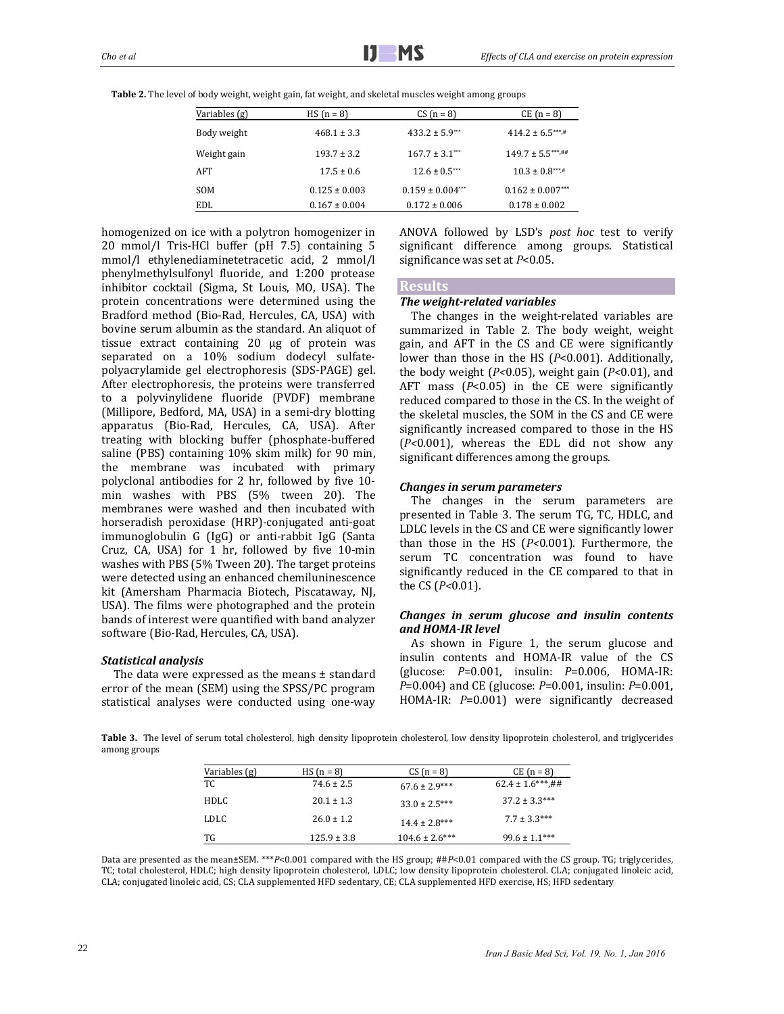| Variables (g) | $HS (n = 8)$      | $CS(n = 8)$           | $CE (n = 8)$         |
|---------------|-------------------|-----------------------|----------------------|
| Body weight   | $468.1 \pm 3.3$   | $433.2 \pm 5.9***$    | $414.2 \pm 6.5***$   |
| Weight gain   | $193.7 \pm 3.2$   | $167.7 \pm 3.1***$    | $149.7 \pm 5.5***$   |
| AFT           | $17.5 \pm 0.6$    | $12.6 \pm 0.5***$     | $10.3 \pm 0.8***$ #  |
| <b>SOM</b>    | $0.125 \pm 0.003$ | $0.159 \pm 0.004$ *** | $0.162 \pm 0.007***$ |
| EDL.          | $0.167 \pm 0.004$ | $0.172 \pm 0.006$     | $0.178 \pm 0.002$    |

**Table 2.** The level of body weight, weight gain, fat weight, and skeletal muscles weight among groups

homogenized on ice with a polytron homogenizer in 20 mmol/l Tris-HCl buffer (pH 7.5) containing 5 mmol/l ethylenediaminetetracetic acid, 2 mmol/l phenylmethylsulfonyl fluoride, and 1:200 protease inhibitor cocktail (Sigma, St Louis, MO, USA). The protein concentrations were determined using the Bradford method (Bio-Rad, Hercules, CA, USA) with bovine serum albumin as the standard. An aliquot of tissue extract containing 20 µg of protein was separated on a 10% sodium dodecyl sulfatepolyacrylamide gel electrophoresis (SDS-PAGE) gel. After electrophoresis, the proteins were transferred to a polyvinylidene fluoride (PVDF) membrane (Millipore, Bedford, MA, USA) in a semi-dry blotting apparatus (Bio-Rad, Hercules, CA, USA). After treating with blocking buffer (phosphate-buffered saline (PBS) containing 10% skim milk) for 90 min, the membrane was incubated with primary polyclonal antibodies for 2 hr, followed by five 10min washes with PBS (5% tween 20). The membranes were washed and then incubated with horseradish peroxidase (HRP)-conjugated anti-goat immunoglobulin G (IgG) or anti-rabbit IgG (Santa Cruz, CA, USA) for 1 hr, followed by five 10-min washes with PBS (5% Tween 20). The target proteins were detected using an enhanced chemiluninescence kit (Amersham Pharmacia Biotech, Piscataway, NJ, USA). The films were photographed and the protein bands of interest were quantified with band analyzer software (Bio-Rad, Hercules, CA, USA).

## *Statistical analysis*

The data were expressed as the means  $\pm$  standard error of the mean (SEM) using the SPSS/PC program statistical analyses were conducted using one-way ANOVA followed by LSD's post hoc test to verify significant difference among groups. Statistical significance was set at  $P<0.05$ .

#### **Results**

## *The weight‐related variables*

The changes in the weight-related variables are summarized in Table 2. The body weight, weight gain, and AFT in the CS and CE were significantly lower than those in the HS (*P*<0.001). Additionally, the body weight (P<0.05), weight gain (P<0.01), and AFT mass  $(P<0.05)$  in the CE were significantly reduced compared to those in the CS. In the weight of the skeletal muscles, the SOM in the CS and CE were significantly increased compared to those in the HS  $(P<0.001)$ , whereas the EDL did not show any significant differences among the groups.

## *Changes in serum parameters*

The changes in the serum parameters are presented in Table 3. The serum TG, TC, HDLC, and LDLC levels in the CS and CE were significantly lower than those in the HS (*P*<0.001). Furthermore, the serum TC concentration was found to have significantly reduced in the CE compared to that in the CS (*P<*0.01). 

# *Changes in serum glucose and insulin contents and HOMA‐IR level*

As shown in Figure 1, the serum glucose and insulin contents and HOMA-IR value of the CS (glucose:  $P=0.001$ , insulin:  $P=0.006$ , HOMA-IR: *P*=0.004) and CE (glucose: *P*=0.001, insulin: *P*=0.001, HOMA-IR:  $P=0.001$  were significantly decreased

Table 3. The level of serum total cholesterol, high density lipoprotein cholesterol, low density lipoprotein cholesterol, and triglycerides among groups

| Variables (g) | $HS (n = 8)$    | $CS(n = 8)$        | $CE (n = 8)$         |
|---------------|-----------------|--------------------|----------------------|
| TC            | $74.6 \pm 2.5$  | $67.6 \pm 2.9***$  | $62.4 \pm 1.6***$ ## |
| HDLC          | $20.1 \pm 1.3$  | $33.0 \pm 2.5***$  | $37.2 \pm 3.3***$    |
| <b>LDLC</b>   | $26.0 \pm 1.2$  | $14.4 \pm 2.8***$  | $7.7 \pm 3.3***$     |
| TG            | $125.9 \pm 3.8$ | $104.6 \pm 2.6***$ | $99.6 \pm 1.1***$    |

Data are presented as the mean±SEM. \*\*\**P*<0.001 compared with the HS group; ##*P*<0.01 compared with the CS group. TG; triglycerides, TC; total cholesterol, HDLC; high density lipoprotein cholesterol, LDLC; low density lipoprotein cholesterol. CLA; conjugated linoleic acid, CLA; conjugated linoleic acid, CS; CLA supplemented HFD sedentary, CE; CLA supplemented HFD exercise, HS; HFD sedentary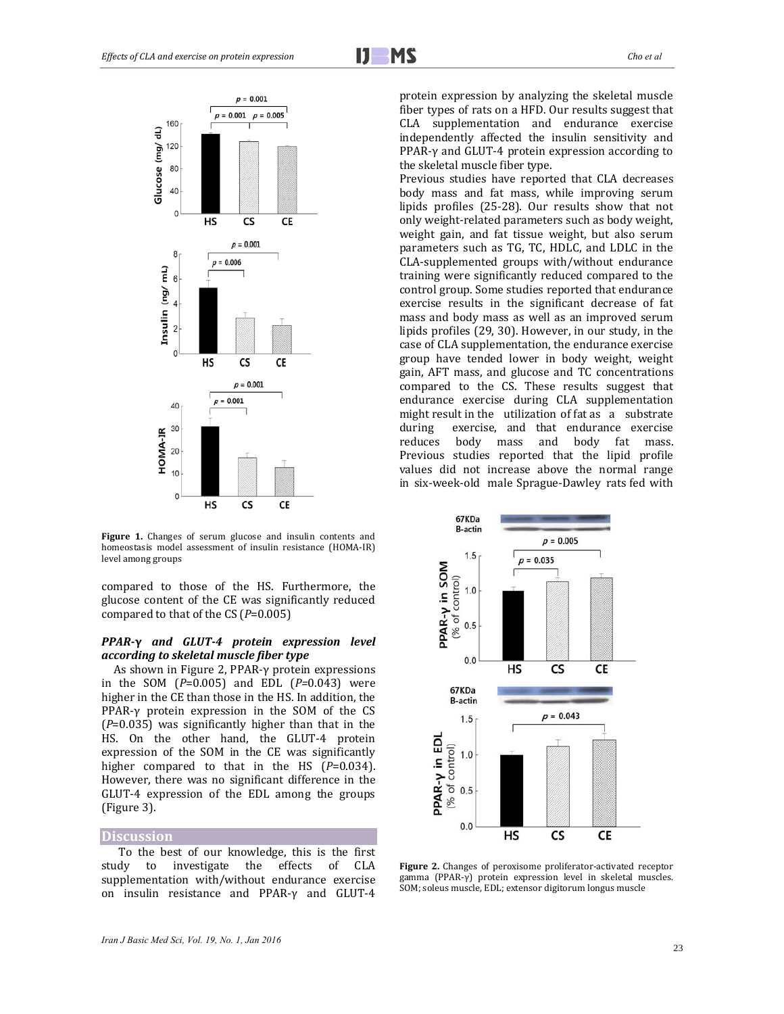

Figure 1. Changes of serum glucose and insulin contents and homeostasis model assessment of insulin resistance (HOMA-IR) level among groups

compared to those of the HS. Furthermore, the glucose content of the CE was significantly reduced compared to that of the CS (*P*=0.005)

## *PPAR***‐γ** *and GLUT‐4 protein expression level according to skeletal muscle fiber type*

As shown in Figure 2, PPAR-γ protein expressions in the SOM (*P*=0.005) and EDL (*P*=0.043) were higher in the CE than those in the HS. In addition, the PPAR- $\gamma$  protein expression in the SOM of the CS  $(P=0.035)$  was significantly higher than that in the HS. On the other hand, the GLUT-4 protein expression of the SOM in the CE was significantly higher compared to that in the HS  $(P=0.034)$ . However, there was no significant difference in the GLUT-4 expression of the EDL among the groups (Figure 3).

## **Discussion**

To the best of our knowledge, this is the first study to investigate the effects of CLA supplementation with/without endurance exercise on insulin resistance and PPAR-γ and GLUT-4 protein expression by analyzing the skeletal muscle fiber types of rats on a HFD. Our results suggest that CLA supplementation and endurance exercise independently affected the insulin sensitivity and PPAR-γ and GLUT-4 protein expression according to the skeletal muscle fiber type.

Previous studies have reported that CLA decreases body mass and fat mass, while improving serum lipids profiles (25-28). Our results show that not only weight-related parameters such as body weight, weight gain, and fat tissue weight, but also serum parameters such as TG, TC, HDLC, and LDLC in the CLA-supplemented groups with/without endurance training were significantly reduced compared to the control group. Some studies reported that endurance exercise results in the significant decrease of fat mass and body mass as well as an improved serum lipids profiles (29, 30). However, in our study, in the case of CLA supplementation, the endurance exercise group have tended lower in body weight, weight gain, AFT mass, and glucose and TC concentrations compared to the CS. These results suggest that endurance exercise during CLA supplementation might result in the utilization of fat as a substrate during exercise, and that endurance exercise reduces body mass and body fat mass. Previous studies reported that the lipid profile values did not increase above the normal range in six-week-old male Sprague-Dawley rats fed with



**Figure 2.** Changes of peroxisome proliferator-activated receptor gamma (PPAR-γ) protein expression level in skeletal muscles. SOM; soleus muscle, EDL; extensor digitorum longus muscle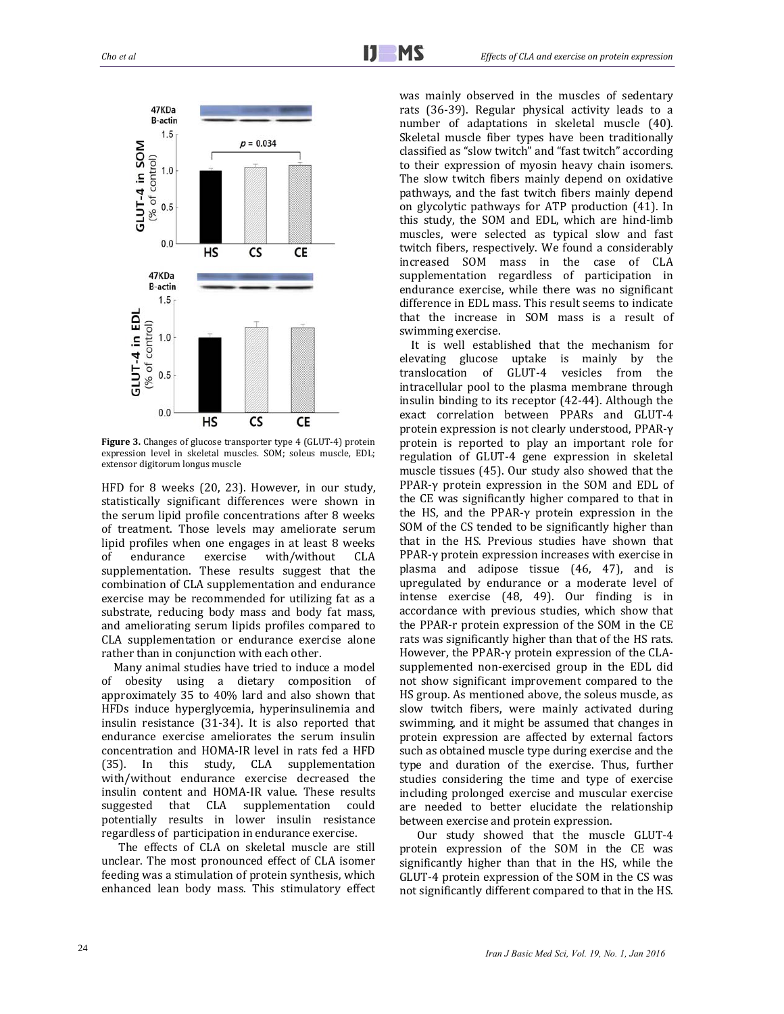

Figure 3. Changes of glucose transporter type 4 (GLUT-4) protein expression level in skeletal muscles. SOM; soleus muscle, EDL; extensor digitorum longus muscle

HFD for 8 weeks (20, 23). However, in our study, statistically significant differences were shown in the serum lipid profile concentrations after 8 weeks of treatment. Those levels may ameliorate serum lipid profiles when one engages in at least 8 weeks of endurance exercise with/without CLA supplementation. These results suggest that the combination of CLA supplementation and endurance exercise may be recommended for utilizing fat as a substrate, reducing body mass and body fat mass, and ameliorating serum lipids profiles compared to CLA supplementation or endurance exercise alone rather than in conjunction with each other.

Many animal studies have tried to induce a model of obesity using a dietary composition of approximately 35 to 40% lard and also shown that HFDs induce hyperglycemia, hyperinsulinemia and insulin resistance  $(31-34)$ . It is also reported that endurance exercise ameliorates the serum insulin concentration and HOMA-IR level in rats fed a HFD (35). In this study, CLA supplementation with/without endurance exercise decreased the insulin content and HOMA-IR value. These results suggested that CLA supplementation could potentially results in lower insulin resistance regardless of participation in endurance exercise.

The effects of CLA on skeletal muscle are still unclear. The most pronounced effect of CLA isomer feeding was a stimulation of protein synthesis, which enhanced lean body mass. This stimulatory effect

was mainly observed in the muscles of sedentary rats (36-39). Regular physical activity leads to a number of adaptations in skeletal muscle (40). Skeletal muscle fiber types have been traditionally classified as "slow twitch" and "fast twitch" according to their expression of myosin heavy chain isomers. The slow twitch fibers mainly depend on oxidative pathways, and the fast twitch fibers mainly depend on glycolytic pathways for ATP production (41). In this study, the SOM and EDL, which are hind-limb muscles, were selected as typical slow and fast twitch fibers, respectively. We found a considerably increased SOM mass in the case of CLA supplementation regardless of participation in endurance exercise, while there was no significant difference in EDL mass. This result seems to indicate that the increase in SOM mass is a result of swimming exercise.

It is well established that the mechanism for elevating glucose uptake is mainly by the translocation of GLUT‐4 vesicles from the intracellular pool to the plasma membrane through insulin binding to its receptor (42-44). Although the exact correlation between PPARs and GLUT-4 protein expression is not clearly understood, PPAR-γ protein is reported to play an important role for regulation of GLUT-4 gene expression in skeletal muscle tissues (45). Our study also showed that the PPAR-γ protein expression in the SOM and EDL of the CE was significantly higher compared to that in the HS, and the PPAR- $\gamma$  protein expression in the SOM of the CS tended to be significantly higher than that in the HS. Previous studies have shown that PPAR-γ protein expression increases with exercise in plasma and adipose tissue (46, 47), and is upregulated by endurance or a moderate level of intense exercise (48, 49). Our finding is in accordance with previous studies, which show that the PPAR-r protein expression of the SOM in the CE rats was significantly higher than that of the HS rats. However, the PPAR-γ protein expression of the CLAsupplemented non-exercised group in the EDL did not show significant improvement compared to the HS group. As mentioned above, the soleus muscle, as slow twitch fibers, were mainly activated during swimming, and it might be assumed that changes in protein expression are affected by external factors such as obtained muscle type during exercise and the type and duration of the exercise. Thus, further studies considering the time and type of exercise including prolonged exercise and muscular exercise are needed to better elucidate the relationship between exercise and protein expression.

Our study showed that the muscle GLUT-4 protein expression of the SOM in the CE was significantly higher than that in the HS, while the GLUT-4 protein expression of the SOM in the CS was not significantly different compared to that in the HS.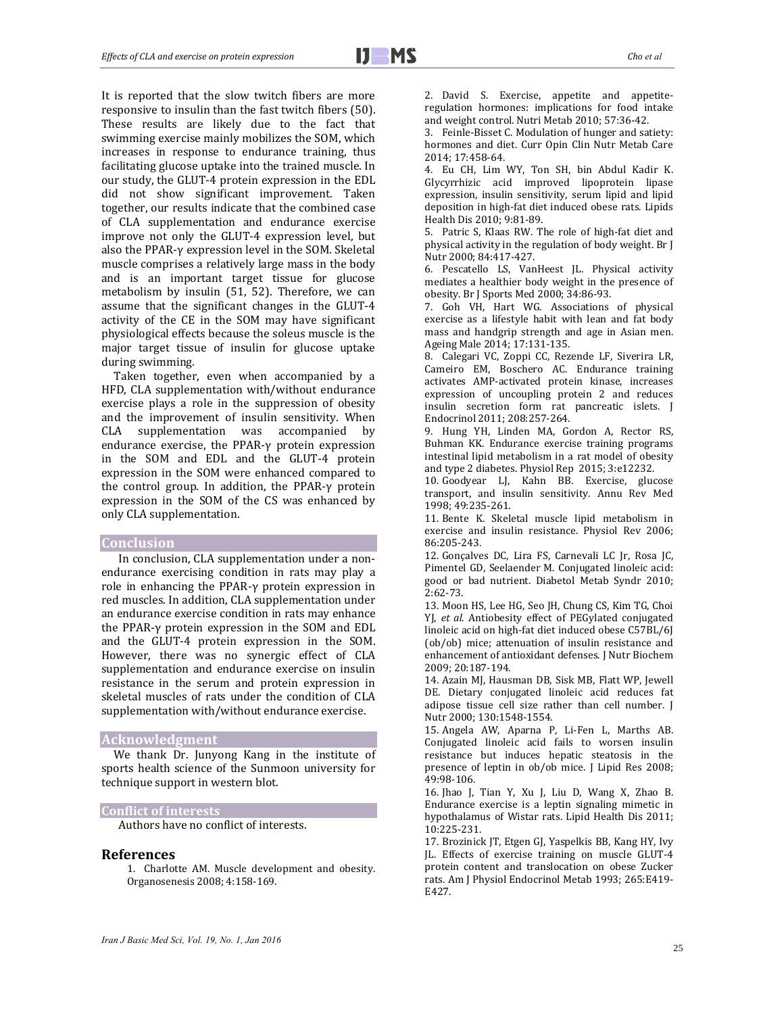It is reported that the slow twitch fibers are more responsive to insulin than the fast twitch fibers (50). These results are likely due to the fact that swimming exercise mainly mobilizes the SOM, which increases in response to endurance training, thus facilitating glucose uptake into the trained muscle. In our study, the GLUT-4 protein expression in the EDL did not show significant improvement. Taken together, our results indicate that the combined case of CLA supplementation and endurance exercise improve not only the GLUT-4 expression level, but also the PPAR-γ expression level in the SOM. Skeletal muscle comprises a relatively large mass in the body and is an important target tissue for glucose metabolism by insulin  $(51, 52)$ . Therefore, we can assume that the significant changes in the GLUT-4 activity of the CE in the SOM may have significant physiological effects because the soleus muscle is the major target tissue of insulin for glucose uptake during swimming.

Taken together, even when accompanied by a HFD, CLA supplementation with/without endurance exercise plays a role in the suppression of obesity and the improvement of insulin sensitivity. When CLA supplementation was accompanied by endurance exercise, the PPAR- $\gamma$  protein expression in the SOM and EDL and the GLUT-4 protein expression in the SOM were enhanced compared to the control group. In addition, the PPAR-γ protein expression in the SOM of the CS was enhanced by only CLA supplementation.

#### **Conclusion**

In conclusion, CLA supplementation under a nonendurance exercising condition in rats may play a role in enhancing the PPAR- $\gamma$  protein expression in red muscles. In addition, CLA supplementation under an endurance exercise condition in rats may enhance the PPAR- $\gamma$  protein expression in the SOM and EDL and the GLUT-4 protein expression in the SOM. However, there was no synergic effect of CLA supplementation and endurance exercise on insulin resistance in the serum and protein expression in skeletal muscles of rats under the condition of CLA supplementation with/without endurance exercise.

# **Acknowledgment**

We thank Dr. Junyong Kang in the institute of sports health science of the Sunmoon university for technique support in western blot.

#### **Conflict of interests**

Authors have no conflict of interests.

#### **References**

1. Charlotte AM. Muscle development and obesity. Organosenesis 2008; 4:158‐169. 

2. David S. Exercise, appetite and appetiteregulation hormones: implications for food intake and weight control. Nutri Metab 2010; 57:36-42.

3. Feinle-Bisset C. Modulation of hunger and satiety: hormones and diet. Curr Opin Clin Nutr Metab Care 2014; 17:458‐64. 

4. Eu CH, Lim WY, Ton SH, bin Abdul Kadir K. Glycyrrhizic acid improved lipoprotein lipase expression, insulin sensitivity, serum lipid and lipid deposition in high-fat diet induced obese rats. Lipids Health Dis 2010; 9:81-89.

5. Patric S, Klaas RW. The role of high-fat diet and physical activity in the regulation of body weight. Br J Nutr 2000; 84:417-427.

6. Pescatello LS, VanHeest JL. Physical activity mediates a healthier body weight in the presence of obesity. Br J Sports Med 2000; 34:86-93.

7. Goh VH, Hart WG. Associations of physical exercise as a lifestyle habit with lean and fat body mass and handgrip strength and age in Asian men. Ageing Male 2014; 17:131-135.

8. Calegari VC, Zoppi CC, Rezende LF, Siverira LR, Cameiro EM, Boschero AC, Endurance training activates AMP‐activated protein kinase, increases expression of uncoupling protein 2 and reduces insulin secretion form rat pancreatic islets. J Endocrinol 2011; 208:257-264.

9. Hung YH, Linden MA, Gordon A, Rector RS, Buhman KK. Endurance exercise training programs intestinal lipid metabolism in a rat model of obesity and type 2 diabetes. Physiol Rep 2015; 3:e12232.

10. Goodyear LJ, Kahn BB. Exercise, glucose transport, and insulin sensitivity. Annu Rev Med 1998; 49:235‐261. 

11. Bente K. Skeletal muscle lipid metabolism in exercise and insulin resistance. Physiol Rev 2006; 86:205‐243. 

12. Gonçalves DC, Lira FS, Carnevali LC Jr, Rosa JC, Pimentel GD, Seelaender M. Conjugated linoleic acid: good or bad nutrient. Diabetol Metab Syndr 2010; 2:62‐73. 

13. Moon HS, Lee HG, Seo JH, Chung CS, Kim TG, Choi YJ, et al. Antiobesity effect of PEGylated conjugated linoleic acid on high-fat diet induced obese C57BL/6J (ob/ob) mice; attenuation of insulin resistance and enhancement of antioxidant defenses. J Nutr Biochem 2009; 20:187‐194. 

14. Azain MJ, Hausman DB, Sisk MB, Flatt WP, Jewell DE. Dietary conjugated linoleic acid reduces fat adipose tissue cell size rather than cell number. J Nutr 2000; 130:1548-1554.

15. Angela AW, Aparna P, Li-Fen L, Marths AB. Conjugated linoleic acid fails to worsen insulin resistance but induces hepatic steatosis in the presence of leptin in ob/ob mice. J Lipid Res 2008; 49:98‐106. 

16. Jhao J, Tian Y, Xu J, Liu D, Wang X, Zhao B. Endurance exercise is a leptin signaling mimetic in hypothalamus of Wistar rats. Lipid Health Dis 2011; 10:225‐231. 

17. Brozinick JT, Etgen GJ, Yaspelkis BB, Kang HY, Ivy JL. Effects of exercise training on muscle GLUT-4 protein content and translocation on obese Zucker rats. Am J Physiol Endocrinol Metab 1993; 265:E419-E427.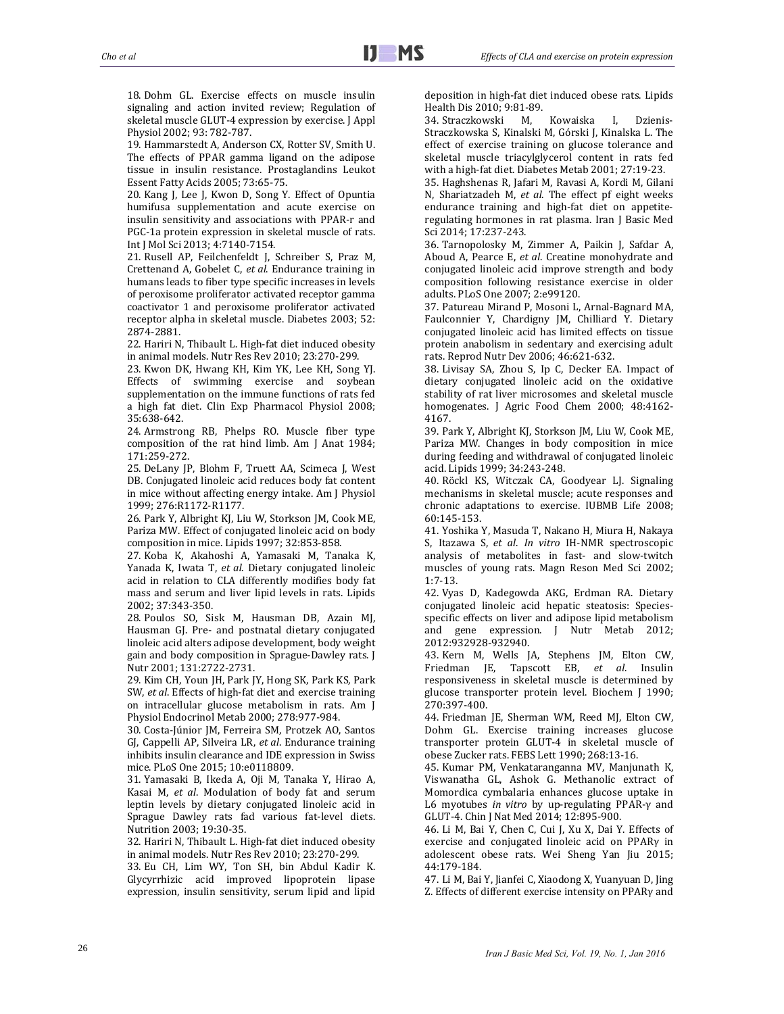18. Dohm GL. Exercise effects on muscle insulin signaling and action invited review; Regulation of skeletal muscle GLUT-4 expression by exercise. J Appl Physiol 2002; 93: 782-787.

19. Hammarstedt A, Anderson CX, Rotter SV, Smith U. The effects of PPAR gamma ligand on the adipose tissue in insulin resistance. Prostaglandins Leukot Essent Fatty Acids 2005; 73:65-75.

20. Kang J, Lee J, Kwon D, Song Y. Effect of Opuntia humifusa supplementation and acute exercise on insulin sensitivity and associations with PPAR-r and PGC-1a protein expression in skeletal muscle of rats. Int J Mol Sci 2013; 4:7140-7154.

21. Rusell AP, Feilchenfeldt J, Schreiber S, Praz M, Crettenand A, Gobelet C, et al. Endurance training in humans leads to fiber type specific increases in levels of peroxisome proliferator activated receptor gamma coactivator 1 and peroxisome proliferator activated receptor alpha in skeletal muscle. Diabetes 2003; 52: 2874‐2881. 

22. Hariri N, Thibault L. High-fat diet induced obesity in animal models. Nutr Res Rev 2010; 23:270-299.

23. Kwon DK, Hwang KH, Kim YK, Lee KH, Song YJ. Effects of swimming exercise and soybean supplementation on the immune functions of rats fed a high fat diet. Clin Exp Pharmacol Physiol 2008; 35:638‐642. 

24. Armstrong RB, Phelps RO. Muscle fiber type composition of the rat hind limb. Am J Anat 1984; 171:259‐272. 

25. DeLany JP, Blohm F, Truett AA, Scimeca J, West DB. Conjugated linoleic acid reduces body fat content in mice without affecting energy intake. Am J Physiol 1999; 276:R1172‐R1177. 

26. Park Y, Albright KJ, Liu W, Storkson JM, Cook ME, Pariza MW. Effect of conjugated linoleic acid on body composition in mice. Lipids 1997; 32:853-858.

27. Koba K, Akahoshi A, Yamasaki M, Tanaka K, Yanada K, Iwata T, et al. Dietary conjugated linoleic acid in relation to CLA differently modifies body fat mass and serum and liver lipid levels in rats. Lipids 2002; 37:343‐350. 

28. Poulos SO, Sisk M, Hausman DB, Azain MJ, Hausman GJ. Pre- and postnatal dietary conjugated linoleic acid alters adipose development, body weight gain and body composition in Sprague-Dawley rats. J Nutr 2001; 131:2722-2731.

29. Kim CH, Youn JH, Park JY, Hong SK, Park KS, Park SW, *et al.* Effects of high-fat diet and exercise training on intracellular glucose metabolism in rats. Am J Physiol Endocrinol Metab 2000; 278:977-984.

30. Costa-Júnior JM, Ferreira SM, Protzek AO, Santos GJ, Cappelli AP, Silveira LR, *et al*. Endurance training inhibits insulin clearance and IDE expression in Swiss mice. PLoS One 2015; 10:e0118809.

31. Yamasaki B, Ikeda A, Oji M, Tanaka Y, Hirao A, Kasai M, et al. Modulation of body fat and serum leptin levels by dietary conjugated linoleic acid in Sprague Dawley rats fad various fat-level diets. Nutrition 2003; 19:30-35.

32. Hariri N, Thibault L. High-fat diet induced obesity in animal models. Nutr Res Rev 2010; 23:270-299.

33. Eu CH, Lim WY, Ton SH, bin Abdul Kadir K. Glycyrrhizic acid improved lipoprotein lipase expression, insulin sensitivity, serum lipid and lipid deposition in high-fat diet induced obese rats. Lipids Health Dis 2010; 9:81-89.

34. Straczkowski M, Kowaiska I, Dzienis-Straczkowska S, Kinalski M, Górski J, Kinalska L. The effect of exercise training on glucose tolerance and skeletal muscle triacylglycerol content in rats fed with a high-fat diet. Diabetes Metab 2001; 27:19-23.

35. Haghshenas R, Jafari M, Ravasi A, Kordi M, Gilani N, Shariatzadeh M, et al. The effect pf eight weeks endurance training and high-fat diet on appetiteregulating hormones in rat plasma. Iran J Basic Med Sci 2014; 17:237-243.

36. Tarnopolosky M, Zimmer A, Paikin J, Safdar A, Aboud A, Pearce E, et al. Creatine monohydrate and conjugated linoleic acid improve strength and body composition following resistance exercise in older adults. PLoS One 2007; 2:e99120.

37. Patureau Mirand P, Mosoni L, Arnal-Bagnard MA, Faulconnier Y, Chardigny JM, Chilliard Y. Dietary conjugated linoleic acid has limited effects on tissue protein anabolism in sedentary and exercising adult rats. Reprod Nutr Dev 2006; 46:621-632.

38. Livisay SA, Zhou S, Ip C, Decker EA. Impact of dietary conjugated linoleic acid on the oxidative stability of rat liver microsomes and skeletal muscle homogenates. J Agric Food Chem 2000; 48:4162-4167. 

39. Park Y, Albright KJ, Storkson JM, Liu W, Cook ME, Pariza MW. Changes in body composition in mice during feeding and withdrawal of conjugated linoleic acid. Lipids 1999; 34:243-248.

40. Röckl KS, Witczak CA, Goodyear LJ. Signaling mechanisms in skeletal muscle; acute responses and chronic adaptations to exercise. IUBMB Life 2008; 60:145‐153. 

41. Yoshika Y, Masuda T, Nakano H, Miura H, Nakaya S, Itazawa S, *et al*. *In vitro* IH‐NMR spectroscopic analysis of metabolites in fast- and slow-twitch muscles of young rats. Magn Reson Med Sci 2002; 1:7‐13. 

42. Vyas D, Kadegowda AKG, Erdman RA. Dietary conjugated linoleic acid hepatic steatosis: Speciesspecific effects on liver and adipose lipid metabolism and gene expression. J Nutr Metab 2012; 2012:932928‐932940. 

43. Kern M, Wells JA, Stephens JM, Elton CW, Friedman JE, Tapscott EB, *et al*. Insulin responsiveness in skeletal muscle is determined by glucose transporter protein level. Biochem J 1990; 270:397‐400. 

44. Friedman JE, Sherman WM, Reed MJ, Elton CW, Dohm GL. Exercise training increases glucose transporter protein GLUT-4 in skeletal muscle of obese Zucker rats. FEBS Lett 1990; 268:13-16.

45. Kumar PM, Venkataranganna MV, Manjunath K, Viswanatha GL, Ashok G. Methanolic extract of Momordica cymbalaria enhances glucose uptake in L6 myotubes *in vitro* by up-regulating PPAR-γ and GLUT-4. Chin J Nat Med 2014; 12:895-900.

46. Li M, Bai Y, Chen C, Cui J, Xu X, Dai Y. Effects of exercise and conjugated linoleic acid on PPARγ in adolescent obese rats. Wei Sheng Yan Jiu 2015; 44:179‐184. 

47. Li M, Bai Y, Jianfei C, Xiaodong X, Yuanyuan D, Jing Z. Effects of different exercise intensity on PPARγ and